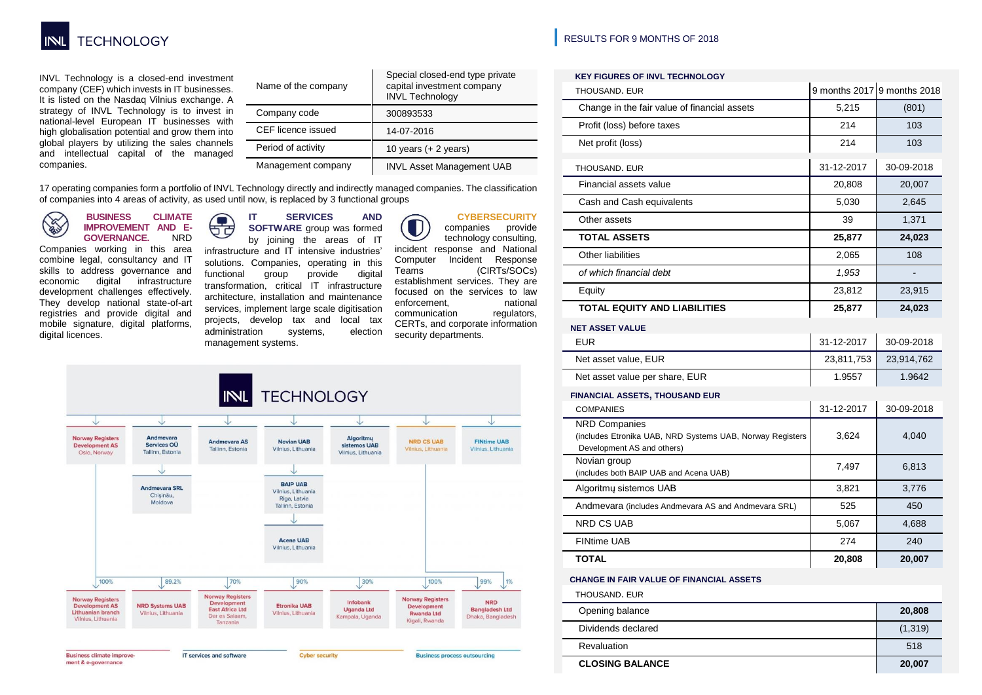

INVL Technology is a closed-end investment company (CEF) which invests in IT businesses. It is listed on the Nasdaq Vilnius exchange. A strategy of INVL Technology is to invest in national-level European IT businesses with high globalisation potential and grow them into global players by utilizing the sales channels and intellectual capital of the managed companies.

|  | Name of the company | Special closed-end type private<br>capital investment company<br><b>INVL Technology</b> |  |  |  |  |  |  |  |
|--|---------------------|-----------------------------------------------------------------------------------------|--|--|--|--|--|--|--|
|  | Company code        | 300893533                                                                               |  |  |  |  |  |  |  |
|  | CEF licence issued  | 14-07-2016                                                                              |  |  |  |  |  |  |  |
|  | Period of activity  | 10 years $(+ 2$ years)                                                                  |  |  |  |  |  |  |  |
|  | Management company  | <b>INVL Asset Management UAB</b>                                                        |  |  |  |  |  |  |  |

17 operating companies form a portfolio of INVL Technology directly and indirectly managed companies. The classification of companies into 4 areas of activity, as used until now, is replaced by 3 functional groups

**BUSINESS CLIMATE Contract IMPROVEMENT AND E-GOVERNANCE.** 

Companies working in this area combine legal, consultancy and IT skills to address governance and<br>economic digital infrastructure digital infrastructure development challenges effectively. They develop national state-of-art registries and provide digital and mobile signature, digital platforms, digital licences.

#### **IT SERVICES AND CO SOFTWARE** group was formed

ਚੱਰ by joining the areas of IT infrastructure and IT intensive industries' solutions. Companies, operating in this functional group provide digital transformation, critical IT infrastructure architecture, installation and maintenance services, implement large scale digitisation projects, develop tax and local tax administration systems, election management systems.

### **CYBERSECURITY**

companies provide technology consulting, incident response and National Computer Incident Response Teams (CIRTs/SOCs) establishment services. They are focused on the services to law enforcement, national<br>communication regulators, communication CERTs, and corporate information security departments.



## **|** RESULTS FOR 9 MONTHS OF 2018

| <b>KEY FIGURES OF INVL TECHNOLOGY</b>                                                                           |            |                             |  |  |
|-----------------------------------------------------------------------------------------------------------------|------------|-----------------------------|--|--|
| THOUSAND. EUR                                                                                                   |            | 9 months 2017 9 months 2018 |  |  |
| Change in the fair value of financial assets                                                                    | 5,215      | (801)                       |  |  |
| Profit (loss) before taxes                                                                                      | 214        | 103                         |  |  |
| Net profit (loss)                                                                                               | 214        | 103                         |  |  |
| THOUSAND. EUR                                                                                                   | 31-12-2017 | 30-09-2018                  |  |  |
| Financial assets value                                                                                          | 20,808     | 20,007                      |  |  |
| Cash and Cash equivalents                                                                                       | 5,030      | 2,645                       |  |  |
| Other assets                                                                                                    | 39         | 1,371                       |  |  |
| <b>TOTAL ASSETS</b>                                                                                             | 25,877     | 24,023                      |  |  |
| Other liabilities                                                                                               | 2,065      | 108                         |  |  |
| of which financial debt                                                                                         | 1,953      |                             |  |  |
| Equity                                                                                                          | 23,812     | 23,915                      |  |  |
| <b>TOTAL EQUITY AND LIABILITIES</b>                                                                             | 25,877     | 24,023                      |  |  |
| <b>NET ASSET VALUE</b>                                                                                          |            |                             |  |  |
| <b>EUR</b>                                                                                                      | 31-12-2017 | 30-09-2018                  |  |  |
| Net asset value, EUR                                                                                            | 23,811,753 | 23,914,762                  |  |  |
| Net asset value per share, EUR                                                                                  | 1.9557     | 1.9642                      |  |  |
| <b>FINANCIAL ASSETS, THOUSAND EUR</b>                                                                           |            |                             |  |  |
| <b>COMPANIES</b>                                                                                                | 31-12-2017 | 30-09-2018                  |  |  |
| <b>NRD Companies</b><br>(includes Etronika UAB, NRD Systems UAB, Norway Registers<br>Development AS and others) | 3,624      | 4,040                       |  |  |
| Novian group<br>(includes both BAIP UAB and Acena UAB)                                                          | 7,497      | 6,813                       |  |  |
| Algoritmu sistemos UAB                                                                                          | 3,821      | 3,776                       |  |  |
| Andmevara (includes Andmevara AS and Andmevara SRL)                                                             | 525        | 450                         |  |  |
| <b>NRD CS UAB</b>                                                                                               | 5,067      | 4,688                       |  |  |
| <b>FINtime UAB</b>                                                                                              | 274        | 240                         |  |  |
| <b>TOTAL</b>                                                                                                    | 20,808     | 20,007                      |  |  |
| <b>CHANGE IN FAIR VALUE OF FINANCIAL ASSETS</b>                                                                 |            |                             |  |  |
| THOUSAND. EUR                                                                                                   |            |                             |  |  |
| Opening balance                                                                                                 | 20,808     |                             |  |  |
| Dividends declared                                                                                              |            | (1, 319)                    |  |  |
| Revaluation                                                                                                     | 518        |                             |  |  |

**CLOSING BALANCE 20,007**